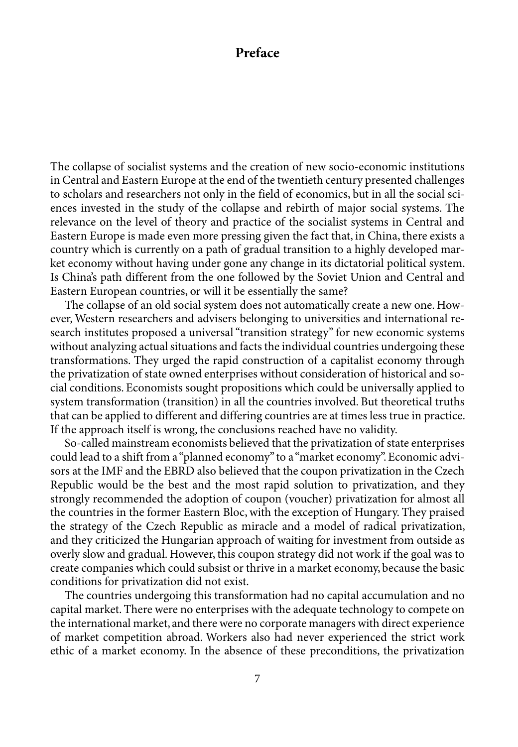## **Preface**

The collapse of socialist systems and the creation of new socio-economic institutions in Central and Eastern Europe at the end of the twentieth century presented challenges to scholars and researchers not only in the field of economics, but in all the social sciences invested in the study of the collapse and rebirth of major social systems. The relevance on the level of theory and practice of the socialist systems in Central and Eastern Europe is made even more pressing given the fact that, in China, there exists a country which is currently on a path of gradual transition to a highly developed market economy without having under gone any change in its dictatorial political system. Is China's path different from the one followed by the Soviet Union and Central and Eastern European countries, or will it be essentially the same?

The collapse of an old social system does not automatically create a new one. However, Western researchers and advisers belonging to universities and international research institutes proposed a universal "transition strategy" for new economic systems without analyzing actual situations and facts the individual countries undergoing these transformations. They urged the rapid construction of a capitalist economy through the privatization of state owned enterprises without consideration of historical and social conditions. Economists sought propositions which could be universally applied to system transformation (transition) in all the countries involved. But theoretical truths that can be applied to different and differing countries are at times less true in practice. If the approach itself is wrong, the conclusions reached have no validity.

So-called mainstream economists believed that the privatization of state enterprises could lead to a shift from a "planned economy" to a "market economy". Economic advisors at the IMF and the EBRD also believed that the coupon privatization in the Czech Republic would be the best and the most rapid solution to privatization, and they strongly recommended the adoption of coupon (voucher) privatization for almost all the countries in the former Eastern Bloc, with the exception of Hungary. They praised the strategy of the Czech Republic as miracle and a model of radical privatization, and they criticized the Hungarian approach of waiting for investment from outside as overly slow and gradual. However, this coupon strategy did not work if the goal was to create companies which could subsist or thrive in a market economy, because the basic conditions for privatization did not exist.

The countries undergoing this transformation had no capital accumulation and no capital market. There were no enterprises with the adequate technology to compete on the international market, and there were no corporate managers with direct experience of market competition abroad. Workers also had never experienced the strict work ethic of a market economy. In the absence of these preconditions, the privatization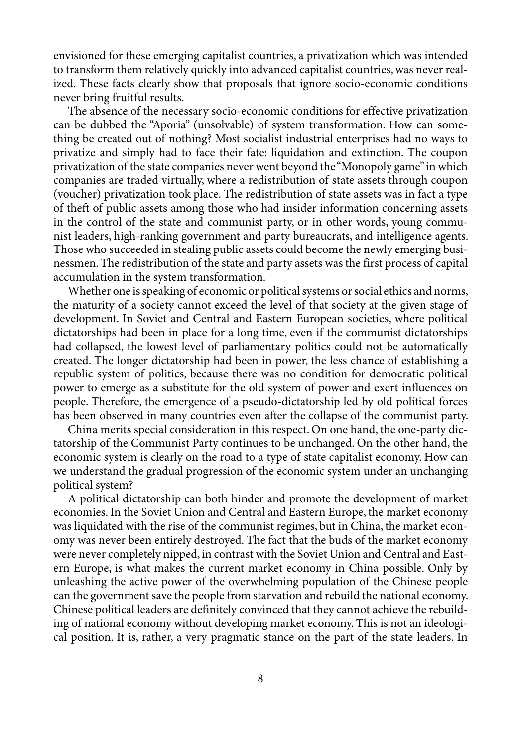envisioned for these emerging capitalist countries, a privatization which was intended to transform them relatively quickly into advanced capitalist countries, was never realized. These facts clearly show that proposals that ignore socio-economic conditions never bring fruitful results.

The absence of the necessary socio-economic conditions for effective privatization can be dubbed the "Aporia" (unsolvable) of system transformation. How can something be created out of nothing? Most socialist industrial enterprises had no ways to privatize and simply had to face their fate: liquidation and extinction. The coupon privatization of the state companies never went beyond the "Monopoly game" in which companies are traded virtually, where a redistribution of state assets through coupon (voucher) privatization took place. The redistribution of state assets was in fact a type of theft of public assets among those who had insider information concerning assets in the control of the state and communist party, or in other words, young communist leaders, high-ranking government and party bureaucrats, and intelligence agents. Those who succeeded in stealing public assets could become the newly emerging businessmen. The redistribution of the state and party assets was the first process of capital accumulation in the system transformation.

Whether one is speaking of economic or political systems or social ethics and norms, the maturity of a society cannot exceed the level of that society at the given stage of development. In Soviet and Central and Eastern European societies, where political dictatorships had been in place for a long time, even if the communist dictatorships had collapsed, the lowest level of parliamentary politics could not be automatically created. The longer dictatorship had been in power, the less chance of establishing a republic system of politics, because there was no condition for democratic political power to emerge as a substitute for the old system of power and exert influences on people. Therefore, the emergence of a pseudo-dictatorship led by old political forces has been observed in many countries even after the collapse of the communist party.

China merits special consideration in this respect. On one hand, the one-party dictatorship of the Communist Party continues to be unchanged. On the other hand, the economic system is clearly on the road to a type of state capitalist economy. How can we understand the gradual progression of the economic system under an unchanging political system?

A political dictatorship can both hinder and promote the development of market economies. In the Soviet Union and Central and Eastern Europe, the market economy was liquidated with the rise of the communist regimes, but in China, the market economy was never been entirely destroyed. The fact that the buds of the market economy were never completely nipped, in contrast with the Soviet Union and Central and Eastern Europe, is what makes the current market economy in China possible. Only by unleashing the active power of the overwhelming population of the Chinese people can the government save the people from starvation and rebuild the national economy. Chinese political leaders are definitely convinced that they cannot achieve the rebuilding of national economy without developing market economy. This is not an ideological position. It is, rather, a very pragmatic stance on the part of the state leaders. In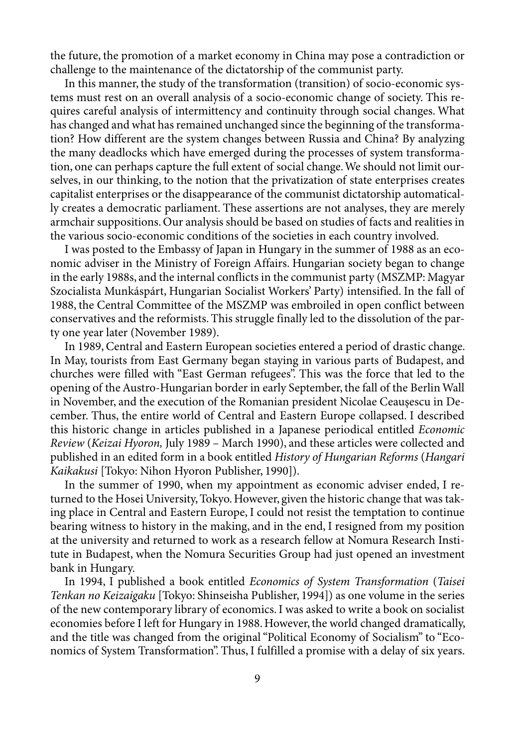the future, the promotion of a market economy in China may pose a contradiction or challenge to the maintenance of the dictatorship of the communist party.

In this manner, the study of the transformation (transition) of socio-economic systems must rest on an overall analysis of a socio-economic change of society. This requires careful analysis of intermittency and continuity through social changes. What has changed and what has remained unchanged since the beginning of the transformation? How different are the system changes between Russia and China? By analyzing the many deadlocks which have emerged during the processes of system transformation, one can perhaps capture the full extent of social change. We should not limit ourselves, in our thinking, to the notion that the privatization of state enterprises creates capitalist enterprises or the disappearance of the communist dictatorship automatically creates a democratic parliament. These assertions are not analyses, they are merely armchair suppositions. Our analysis should be based on studies of facts and realities in the various socio-economic conditions of the societies in each country involved.

I was posted to the Embassy of Japan in Hungary in the summer of 1988 as an economic adviser in the Ministry of Foreign Affairs. Hungarian society began to change in the early 1988s, and the internal conflicts in the communist party (MSZMP: Magyar Szocialista Munkáspárt, Hungarian Socialist Workers' Party) intensified. In the fall of 1988, the Central Committee of the MSZMP was embroiled in open conflict between conservatives and the reformists. This struggle finally led to the dissolution of the party one year later (November 1989).

In 1989, Central and Eastern European societies entered a period of drastic change. In May, tourists from East Germany began staying in various parts of Budapest, and churches were filled with "East German refugees". This was the force that led to the opening of the Austro-Hungarian border in early September, the fall of the Berlin Wall in November, and the execution of the Romanian president Nicolae Ceauşescu in December. Thus, the entire world of Central and Eastern Europe collapsed. I described this historic change in articles published in a Japanese periodical entitled *Economic Review* (*Keizai Hyoron,* July 1989 – March 1990), and these articles were collected and published in an edited form in a book entitled *History of Hungarian Reforms* (*Hangari Kaikakusi* [Tokyo: Nihon Hyoron Publisher, 1990]).

In the summer of 1990, when my appointment as economic adviser ended, I returned to the Hosei University, Tokyo. However, given the historic change that was taking place in Central and Eastern Europe, I could not resist the temptation to continue bearing witness to history in the making, and in the end, I resigned from my position at the university and returned to work as a research fellow at Nomura Research Institute in Budapest, when the Nomura Securities Group had just opened an investment bank in Hungary.

In 1994, I published a book entitled *Economics of System Transformation* (*Taisei Tenkan no Keizaigaku* [Tokyo: Shinseisha Publisher, 1994]) as one volume in the series of the new contemporary library of economics. I was asked to write a book on socialist economies before I left for Hungary in 1988. However, the world changed dramatically, and the title was changed from the original "Political Economy of Socialism" to "Economics of System Transformation". Thus, I fulfilled a promise with a delay of six years.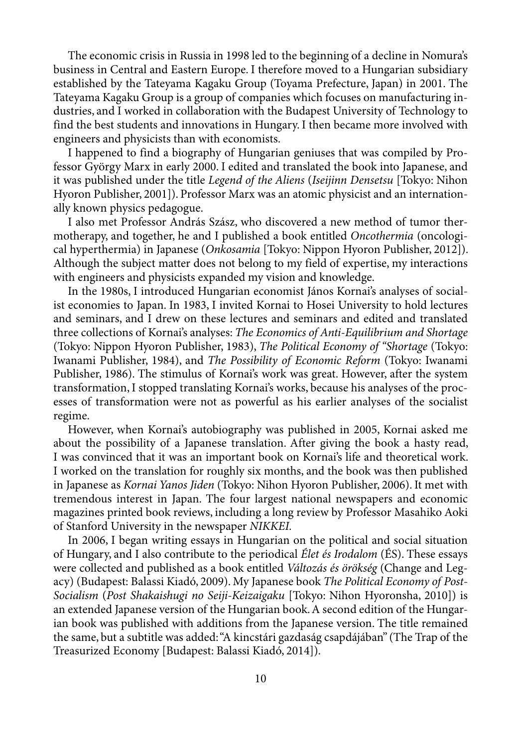The economic crisis in Russia in 1998 led to the beginning of a decline in Nomura's business in Central and Eastern Europe. I therefore moved to a Hungarian subsidiary established by the Tateyama Kagaku Group (Toyama Prefecture, Japan) in 2001. The Tateyama Kagaku Group is a group of companies which focuses on manufacturing industries, and I worked in collaboration with the Budapest University of Technology to find the best students and innovations in Hungary. I then became more involved with engineers and physicists than with economists.

I happened to find a biography of Hungarian geniuses that was compiled by Professor György Marx in early 2000. I edited and translated the book into Japanese, and it was published under the title *Legend of the Aliens* (*Iseijinn Densetsu* [Tokyo: Nihon Hyoron Publisher, 2001]). Professor Marx was an atomic physicist and an internationally known physics pedagogue.

I also met Professor András Szász, who discovered a new method of tumor thermotherapy, and together, he and I published a book entitled *Oncothermia* (oncological hyperthermia) in Japanese (*Onkosamia* [Tokyo: Nippon Hyoron Publisher, 2012]). Although the subject matter does not belong to my field of expertise, my interactions with engineers and physicists expanded my vision and knowledge.

In the 1980s, I introduced Hungarian economist János Kornai's analyses of socialist economies to Japan. In 1983, I invited Kornai to Hosei University to hold lectures and seminars, and I drew on these lectures and seminars and edited and translated three collections of Kornai's analyses: *The Economics of Anti-Equilibrium and Shortage*  (Tokyo: Nippon Hyoron Publisher, 1983), *The Political Economy of "Shortage* (Tokyo: Iwanami Publisher, 1984), and *The Possibility of Economic Reform* (Tokyo: Iwanami Publisher, 1986). The stimulus of Kornai's work was great. However, after the system transformation, I stopped translating Kornai's works, because his analyses of the processes of transformation were not as powerful as his earlier analyses of the socialist regime.

However, when Kornai's autobiography was published in 2005, Kornai asked me about the possibility of a Japanese translation. After giving the book a hasty read, I was convinced that it was an important book on Kornai's life and theoretical work. I worked on the translation for roughly six months, and the book was then published in Japanese as *Kornai Yanos Jiden* (Tokyo: Nihon Hyoron Publisher, 2006). It met with tremendous interest in Japan. The four largest national newspapers and economic magazines printed book reviews, including a long review by Professor Masahiko Aoki of Stanford University in the newspaper *NIKKEI.*

In 2006, I began writing essays in Hungarian on the political and social situation of Hungary, and I also contribute to the periodical *Élet és Irodalom* (ÉS). These essays were collected and published as a book entitled *Változás és örökség* (Change and Legacy) (Budapest: Balassi Kiadó, 2009). My Japanese book *The Political Economy of Post-Socialism* (*Post Shakaishugi no Seiji-Keizaigaku* [Tokyo: Nihon Hyoronsha, 2010]) is an extended Japanese version of the Hungarian book. A second edition of the Hungarian book was published with additions from the Japanese version. The title remained the same, but a subtitle was added: "A kincstári gazdaság csapdájában" (The Trap of the Treasurized Economy [Budapest: Balassi Kiadó, 2014]).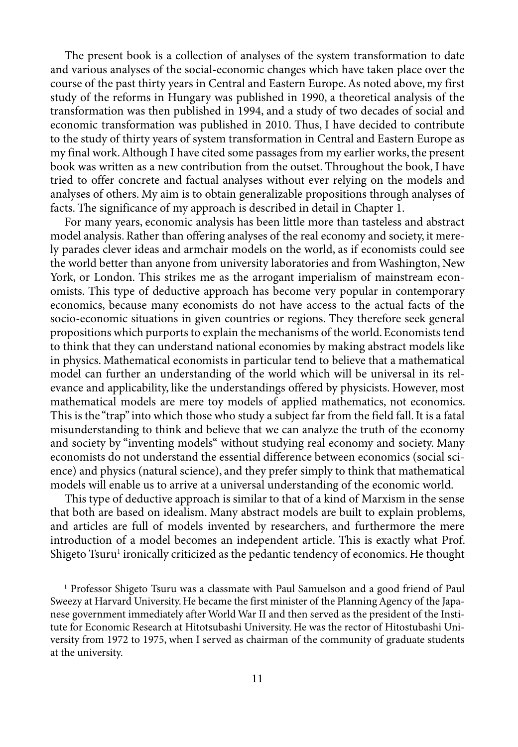The present book is a collection of analyses of the system transformation to date and various analyses of the social-economic changes which have taken place over the course of the past thirty years in Central and Eastern Europe. As noted above, my first study of the reforms in Hungary was published in 1990, a theoretical analysis of the transformation was then published in 1994, and a study of two decades of social and economic transformation was published in 2010. Thus, I have decided to contribute to the study of thirty years of system transformation in Central and Eastern Europe as my final work. Although I have cited some passages from my earlier works, the present book was written as a new contribution from the outset. Throughout the book, I have tried to offer concrete and factual analyses without ever relying on the models and analyses of others. My aim is to obtain generalizable propositions through analyses of facts. The significance of my approach is described in detail in Chapter 1.

For many years, economic analysis has been little more than tasteless and abstract model analysis. Rather than offering analyses of the real economy and society, it merely parades clever ideas and armchair models on the world, as if economists could see the world better than anyone from university laboratories and from Washington, New York, or London. This strikes me as the arrogant imperialism of mainstream economists. This type of deductive approach has become very popular in contemporary economics, because many economists do not have access to the actual facts of the socio-economic situations in given countries or regions. They therefore seek general propositions which purports to explain the mechanisms of the world. Economists tend to think that they can understand national economies by making abstract models like in physics. Mathematical economists in particular tend to believe that a mathematical model can further an understanding of the world which will be universal in its relevance and applicability, like the understandings offered by physicists. However, most mathematical models are mere toy models of applied mathematics, not economics. This is the "trap" into which those who study a subject far from the field fall. It is a fatal misunderstanding to think and believe that we can analyze the truth of the economy and society by "inventing models" without studying real economy and society. Many economists do not understand the essential difference between economics (social science) and physics (natural science), and they prefer simply to think that mathematical models will enable us to arrive at a universal understanding of the economic world.

This type of deductive approach is similar to that of a kind of Marxism in the sense that both are based on idealism. Many abstract models are built to explain problems, and articles are full of models invented by researchers, and furthermore the mere introduction of a model becomes an independent article. This is exactly what Prof. Shigeto Tsuru<sup>1</sup> ironically criticized as the pedantic tendency of economics. He thought

1 Professor Shigeto Tsuru was a classmate with Paul Samuelson and a good friend of Paul Sweezy at Harvard University. He became the first minister of the Planning Agency of the Japanese government immediately after World War II and then served as the president of the Institute for Economic Research at Hitotsubashi University. He was the rector of Hitostubashi University from 1972 to 1975, when I served as chairman of the community of graduate students at the university.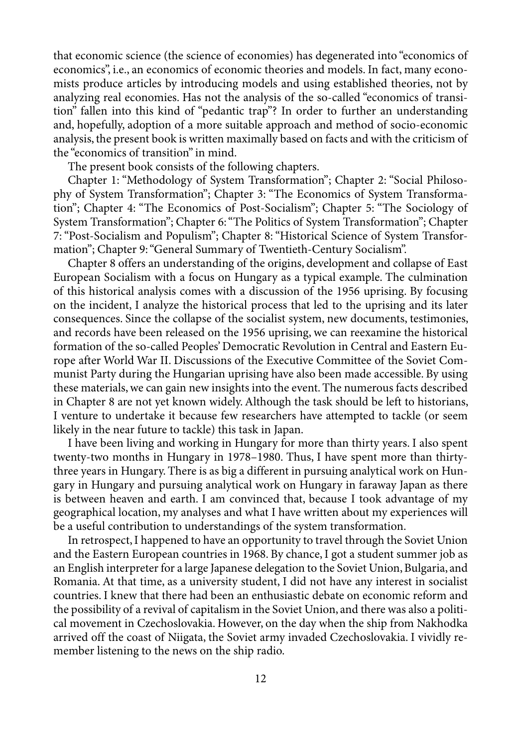that economic science (the science of economies) has degenerated into "economics of economics", i.e., an economics of economic theories and models. In fact, many economists produce articles by introducing models and using established theories, not by analyzing real economies. Has not the analysis of the so-called "economics of transition" fallen into this kind of "pedantic trap"? In order to further an understanding and, hopefully, adoption of a more suitable approach and method of socio-economic analysis, the present book is written maximally based on facts and with the criticism of the "economics of transition" in mind.

The present book consists of the following chapters.

Chapter 1: "Methodology of System Transformation"; Chapter 2: "Social Philosophy of System Transformation"; Chapter 3: "The Economics of System Transformation"; Chapter 4: "The Economics of Post-Socialism"; Chapter 5: "The Sociology of System Transformation"; Chapter 6: "The Politics of System Transformation"; Chapter 7: "Post-Socialism and Populism"; Chapter 8: "Historical Science of System Transformation"; Chapter 9: "General Summary of Twentieth-Century Socialism".

Chapter 8 offers an understanding of the origins, development and collapse of East European Socialism with a focus on Hungary as a typical example. The culmination of this historical analysis comes with a discussion of the 1956 uprising. By focusing on the incident, I analyze the historical process that led to the uprising and its later consequences. Since the collapse of the socialist system, new documents, testimonies, and records have been released on the 1956 uprising, we can reexamine the historical formation of the so-called Peoples' Democratic Revolution in Central and Eastern Europe after World War II. Discussions of the Executive Committee of the Soviet Communist Party during the Hungarian uprising have also been made accessible. By using these materials, we can gain new insights into the event. The numerous facts described in Chapter 8 are not yet known widely. Although the task should be left to historians, I venture to undertake it because few researchers have attempted to tackle (or seem likely in the near future to tackle) this task in Japan.

I have been living and working in Hungary for more than thirty years. I also spent twenty-two months in Hungary in 1978–1980. Thus, I have spent more than thirtythree years in Hungary. There is as big a different in pursuing analytical work on Hungary in Hungary and pursuing analytical work on Hungary in faraway Japan as there is between heaven and earth. I am convinced that, because I took advantage of my geographical location, my analyses and what I have written about my experiences will be a useful contribution to understandings of the system transformation.

In retrospect, I happened to have an opportunity to travel through the Soviet Union and the Eastern European countries in 1968. By chance, I got a student summer job as an English interpreter for a large Japanese delegation to the Soviet Union, Bulgaria, and Romania. At that time, as a university student, I did not have any interest in socialist countries. I knew that there had been an enthusiastic debate on economic reform and the possibility of a revival of capitalism in the Soviet Union, and there was also a political movement in Czechoslovakia. However, on the day when the ship from Nakhodka arrived off the coast of Niigata, the Soviet army invaded Czechoslovakia. I vividly remember listening to the news on the ship radio.